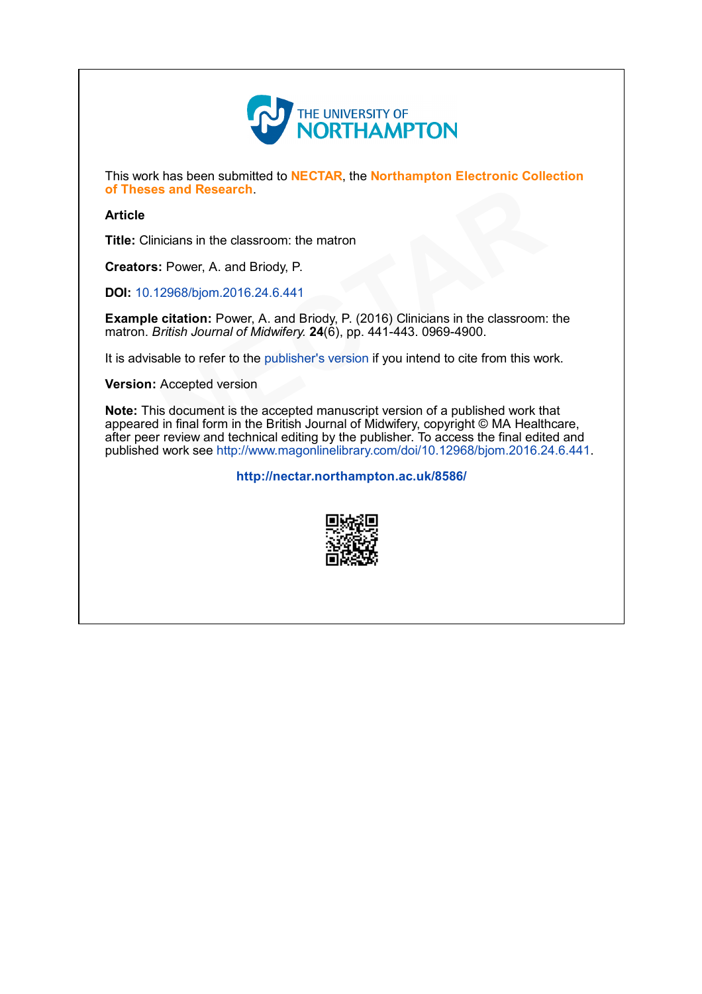

This work has been submitted to NECTAR, the Northampton Electronic Collection of Theses and Research.

#### Article

Title: Clinicians in the classroom: the matron

Creators: Power, A. and Briody, P.

DOI: 10.12968/bjom.2016.24.6.441

Example citation: Power, A. and Briody, P. (2016) Clinicians in the classroom: the matron. British Journal of Midwifery.  $24(6)$ , pp.  $441-443$ . 0969-4900.

It is advisable to refer to the publisher's version if you intend to cite from this work.

Version: Accepted version

Note: This document is the accepted manuscript version of a published work that appeared in final form in the British Journal of Midwifery, copyright © MA Healthcare, after peer review and technical editing by the publisher. To access the final edited and published work see http://www.magonlinelibrary.com/doi/10.12968/bjom.2016.24.6.441. of Theses and Research.<br> **Article**<br> **Title:** Clinicians in the classroom: the matron<br> **Creators:** Power, A. and Briody, P.<br> **DOI:** 10.12968/bjom.2016.24.6.441<br> **Example citation:** Power, A. and Briody, P. (2016) Clinicians

<http://nectar.northampton.ac.uk/8586/>

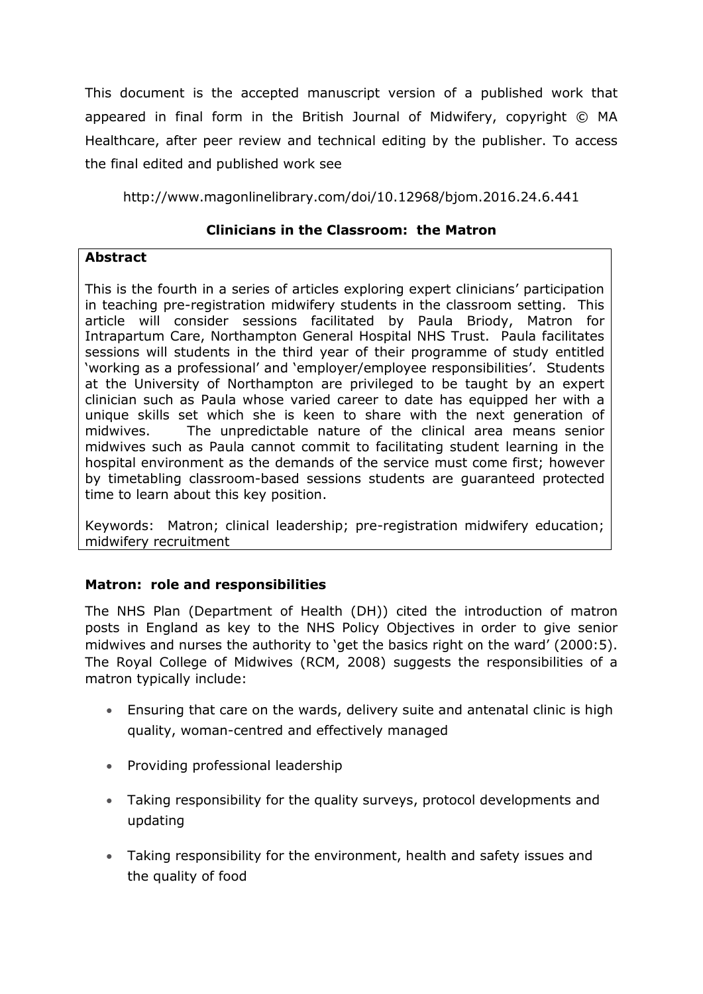This document is the accepted manuscript version of a published work that appeared in final form in the British Journal of Midwifery, copyright © MA Healthcare, after peer review and technical editing by the publisher. To access the final edited and published work see

http://www.magonlinelibrary.com/doi/10.12968/bjom.2016.24.6.441

# **Clinicians in the Classroom: the Matron**

# **Abstract**

This is the fourth in a series of articles exploring expert clinicians' participation in teaching pre-registration midwifery students in the classroom setting. This article will consider sessions facilitated by Paula Briody, Matron for Intrapartum Care, Northampton General Hospital NHS Trust. Paula facilitates sessions will students in the third year of their programme of study entitled 'working as a professional' and 'employer/employee responsibilities'. Students at the University of Northampton are privileged to be taught by an expert clinician such as Paula whose varied career to date has equipped her with a unique skills set which she is keen to share with the next generation of midwives. The unpredictable nature of the clinical area means senior midwives such as Paula cannot commit to facilitating student learning in the hospital environment as the demands of the service must come first; however by timetabling classroom-based sessions students are guaranteed protected time to learn about this key position.

Keywords: Matron; clinical leadership; pre-registration midwifery education; midwifery recruitment

# **Matron: role and responsibilities**

The NHS Plan (Department of Health (DH)) cited the introduction of matron posts in England as key to the NHS Policy Objectives in order to give senior midwives and nurses the authority to 'get the basics right on the ward' (2000:5). The Royal College of Midwives (RCM, 2008) suggests the responsibilities of a matron typically include:

- Ensuring that care on the wards, delivery suite and antenatal clinic is high quality, woman-centred and effectively managed
- Providing professional leadership
- Taking responsibility for the quality surveys, protocol developments and updating
- Taking responsibility for the environment, health and safety issues and the quality of food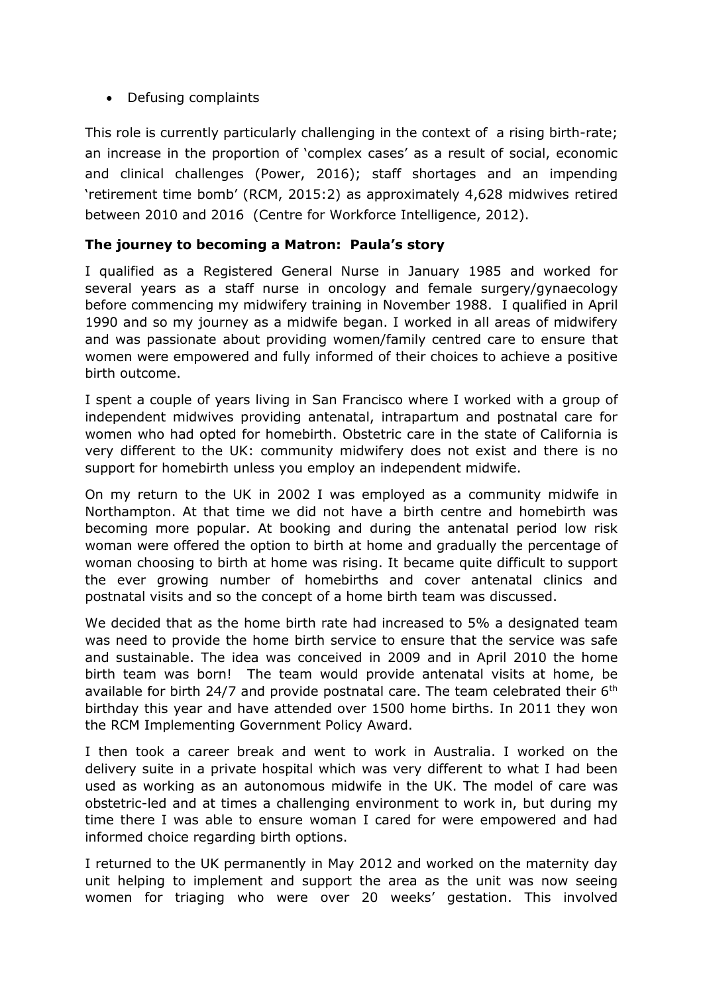• Defusing complaints

This role is currently particularly challenging in the context of a rising birth-rate; an increase in the proportion of 'complex cases' as a result of social, economic and clinical challenges (Power, 2016); staff shortages and an impending 'retirement time bomb' (RCM, 2015:2) as approximately 4,628 midwives retired between 2010 and 2016 (Centre for Workforce Intelligence, 2012).

### **The journey to becoming a Matron: Paula's story**

I qualified as a Registered General Nurse in January 1985 and worked for several years as a staff nurse in oncology and female surgery/gynaecology before commencing my midwifery training in November 1988. I qualified in April 1990 and so my journey as a midwife began. I worked in all areas of midwifery and was passionate about providing women/family centred care to ensure that women were empowered and fully informed of their choices to achieve a positive birth outcome.

I spent a couple of years living in San Francisco where I worked with a group of independent midwives providing antenatal, intrapartum and postnatal care for women who had opted for homebirth. Obstetric care in the state of California is very different to the UK: community midwifery does not exist and there is no support for homebirth unless you employ an independent midwife.

On my return to the UK in 2002 I was employed as a community midwife in Northampton. At that time we did not have a birth centre and homebirth was becoming more popular. At booking and during the antenatal period low risk woman were offered the option to birth at home and gradually the percentage of woman choosing to birth at home was rising. It became quite difficult to support the ever growing number of homebirths and cover antenatal clinics and postnatal visits and so the concept of a home birth team was discussed.

We decided that as the home birth rate had increased to 5% a designated team was need to provide the home birth service to ensure that the service was safe and sustainable. The idea was conceived in 2009 and in April 2010 the home birth team was born! The team would provide antenatal visits at home, be available for birth 24/7 and provide postnatal care. The team celebrated their  $6<sup>th</sup>$ birthday this year and have attended over 1500 home births. In 2011 they won the RCM Implementing Government Policy Award.

I then took a career break and went to work in Australia. I worked on the delivery suite in a private hospital which was very different to what I had been used as working as an autonomous midwife in the UK. The model of care was obstetric-led and at times a challenging environment to work in, but during my time there I was able to ensure woman I cared for were empowered and had informed choice regarding birth options.

I returned to the UK permanently in May 2012 and worked on the maternity day unit helping to implement and support the area as the unit was now seeing women for triaging who were over 20 weeks' gestation. This involved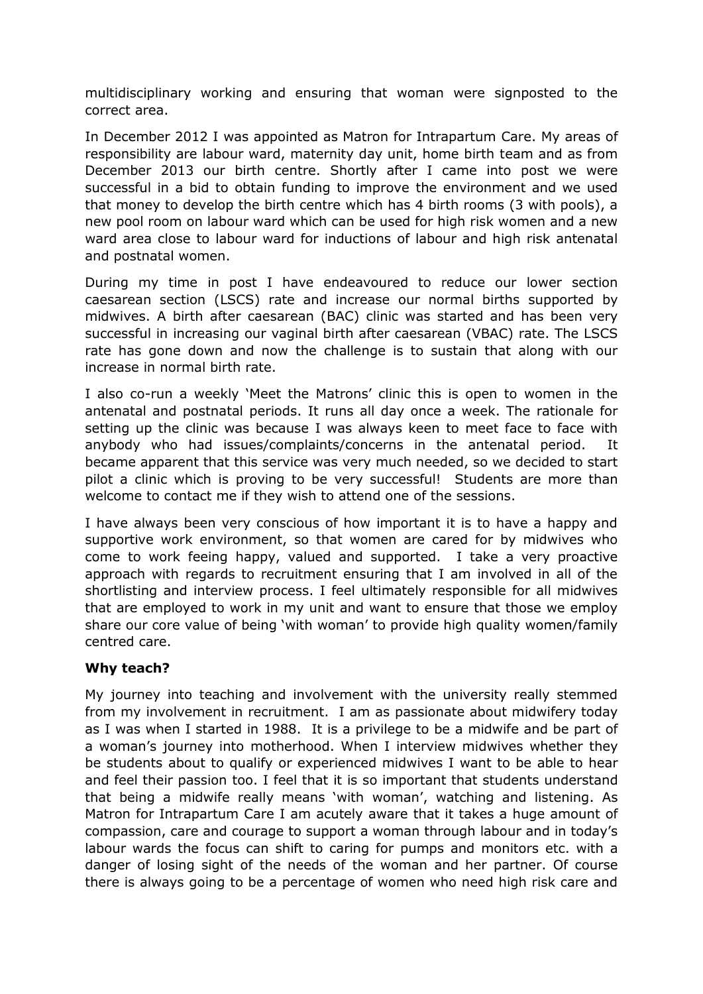multidisciplinary working and ensuring that woman were signposted to the correct area.

In December 2012 I was appointed as Matron for Intrapartum Care. My areas of responsibility are labour ward, maternity day unit, home birth team and as from December 2013 our birth centre. Shortly after I came into post we were successful in a bid to obtain funding to improve the environment and we used that money to develop the birth centre which has 4 birth rooms (3 with pools), a new pool room on labour ward which can be used for high risk women and a new ward area close to labour ward for inductions of labour and high risk antenatal and postnatal women.

During my time in post I have endeavoured to reduce our lower section caesarean section (LSCS) rate and increase our normal births supported by midwives. A birth after caesarean (BAC) clinic was started and has been very successful in increasing our vaginal birth after caesarean (VBAC) rate. The LSCS rate has gone down and now the challenge is to sustain that along with our increase in normal birth rate.

I also co-run a weekly 'Meet the Matrons' clinic this is open to women in the antenatal and postnatal periods. It runs all day once a week. The rationale for setting up the clinic was because I was always keen to meet face to face with anybody who had issues/complaints/concerns in the antenatal period. It became apparent that this service was very much needed, so we decided to start pilot a clinic which is proving to be very successful! Students are more than welcome to contact me if they wish to attend one of the sessions.

I have always been very conscious of how important it is to have a happy and supportive work environment, so that women are cared for by midwives who come to work feeing happy, valued and supported. I take a very proactive approach with regards to recruitment ensuring that I am involved in all of the shortlisting and interview process. I feel ultimately responsible for all midwives that are employed to work in my unit and want to ensure that those we employ share our core value of being 'with woman' to provide high quality women/family centred care.

#### **Why teach?**

My journey into teaching and involvement with the university really stemmed from my involvement in recruitment. I am as passionate about midwifery today as I was when I started in 1988. It is a privilege to be a midwife and be part of a woman's journey into motherhood. When I interview midwives whether they be students about to qualify or experienced midwives I want to be able to hear and feel their passion too. I feel that it is so important that students understand that being a midwife really means 'with woman', watching and listening. As Matron for Intrapartum Care I am acutely aware that it takes a huge amount of compassion, care and courage to support a woman through labour and in today's labour wards the focus can shift to caring for pumps and monitors etc. with a danger of losing sight of the needs of the woman and her partner. Of course there is always going to be a percentage of women who need high risk care and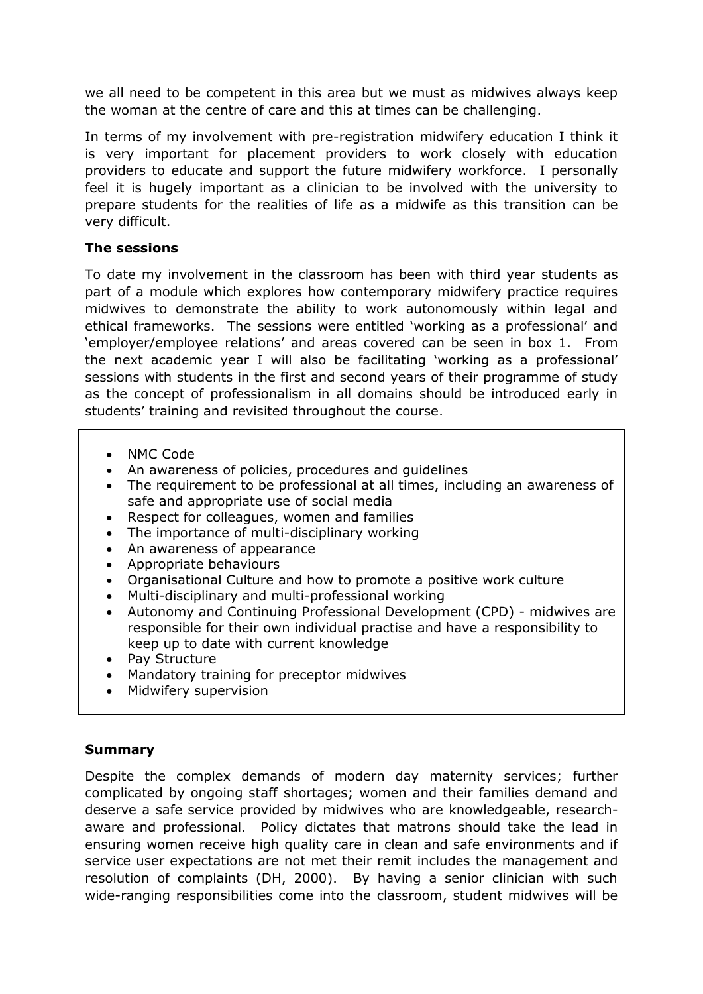we all need to be competent in this area but we must as midwives always keep the woman at the centre of care and this at times can be challenging.

In terms of my involvement with pre-registration midwifery education I think it is very important for placement providers to work closely with education providers to educate and support the future midwifery workforce. I personally feel it is hugely important as a clinician to be involved with the university to prepare students for the realities of life as a midwife as this transition can be very difficult.

## **The sessions**

To date my involvement in the classroom has been with third year students as part of a module which explores how contemporary midwifery practice requires midwives to demonstrate the ability to work autonomously within legal and ethical frameworks. The sessions were entitled 'working as a professional' and 'employer/employee relations' and areas covered can be seen in box 1. From the next academic year I will also be facilitating 'working as a professional' sessions with students in the first and second years of their programme of study as the concept of professionalism in all domains should be introduced early in students' training and revisited throughout the course.

- NMC Code
- An awareness of policies, procedures and guidelines
- The requirement to be professional at all times, including an awareness of safe and appropriate use of social media
- Respect for colleagues, women and families
- The importance of multi-disciplinary working
- An awareness of appearance
- Appropriate behaviours
- Organisational Culture and how to promote a positive work culture
- Multi-disciplinary and multi-professional working
- Autonomy and Continuing Professional Development (CPD) midwives are responsible for their own individual practise and have a responsibility to keep up to date with current knowledge
- Pay Structure
- Mandatory training for preceptor midwives
- Midwifery supervision

# **Summary**

Despite the complex demands of modern day maternity services; further complicated by ongoing staff shortages; women and their families demand and deserve a safe service provided by midwives who are knowledgeable, researchaware and professional. Policy dictates that matrons should take the lead in ensuring women receive high quality care in clean and safe environments and if service user expectations are not met their remit includes the management and resolution of complaints (DH, 2000). By having a senior clinician with such wide-ranging responsibilities come into the classroom, student midwives will be